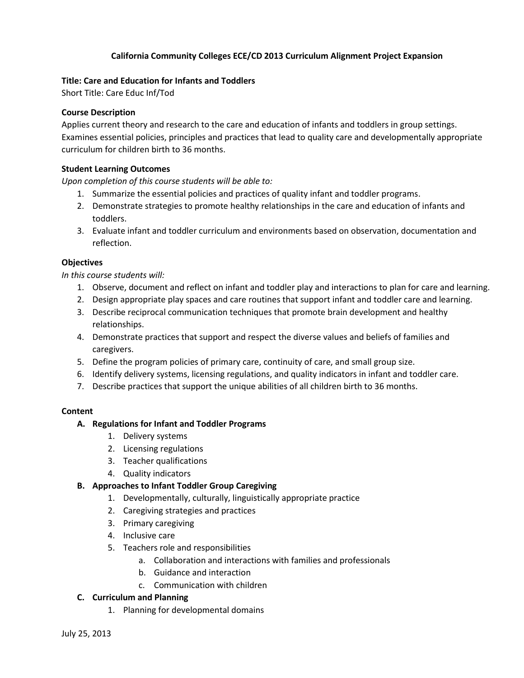# **California Community Colleges ECE/CD 2013 Curriculum Alignment Project Expansion**

# **Title: Care and Education for Infants and Toddlers**

Short Title: Care Educ Inf/Tod

## **Course Description**

Applies current theory and research to the care and education of infants and toddlers in group settings. Examines essential policies, principles and practices that lead to quality care and developmentally appropriate curriculum for children birth to 36 months.

## **Student Learning Outcomes**

*Upon completion of this course students will be able to:*

- 1. Summarize the essential policies and practices of quality infant and toddler programs.
- 2. Demonstrate strategies to promote healthy relationships in the care and education of infants and toddlers.
- 3. Evaluate infant and toddler curriculum and environments based on observation, documentation and reflection.

#### **Objectives**

*In this course students will:*

- 1. Observe, document and reflect on infant and toddler play and interactions to plan for care and learning.
- 2. Design appropriate play spaces and care routines that support infant and toddler care and learning.
- 3. Describe reciprocal communication techniques that promote brain development and healthy relationships.
- 4. Demonstrate practices that support and respect the diverse values and beliefs of families and caregivers.
- 5. Define the program policies of primary care, continuity of care, and small group size.
- 6. Identify delivery systems, licensing regulations, and quality indicators in infant and toddler care.
- 7. Describe practices that support the unique abilities of all children birth to 36 months.

# **Content**

# **A. Regulations for Infant and Toddler Programs**

- 1. Delivery systems
- 2. Licensing regulations
- 3. Teacher qualifications
- 4. Quality indicators

# **B. Approaches to Infant Toddler Group Caregiving**

- 1. Developmentally, culturally, linguistically appropriate practice
- 2. Caregiving strategies and practices
- 3. Primary caregiving
- 4. Inclusive care
- 5. Teachers role and responsibilities
	- a. Collaboration and interactions with families and professionals
	- b. Guidance and interaction
	- c. Communication with children

# **C. Curriculum and Planning**

1. Planning for developmental domains